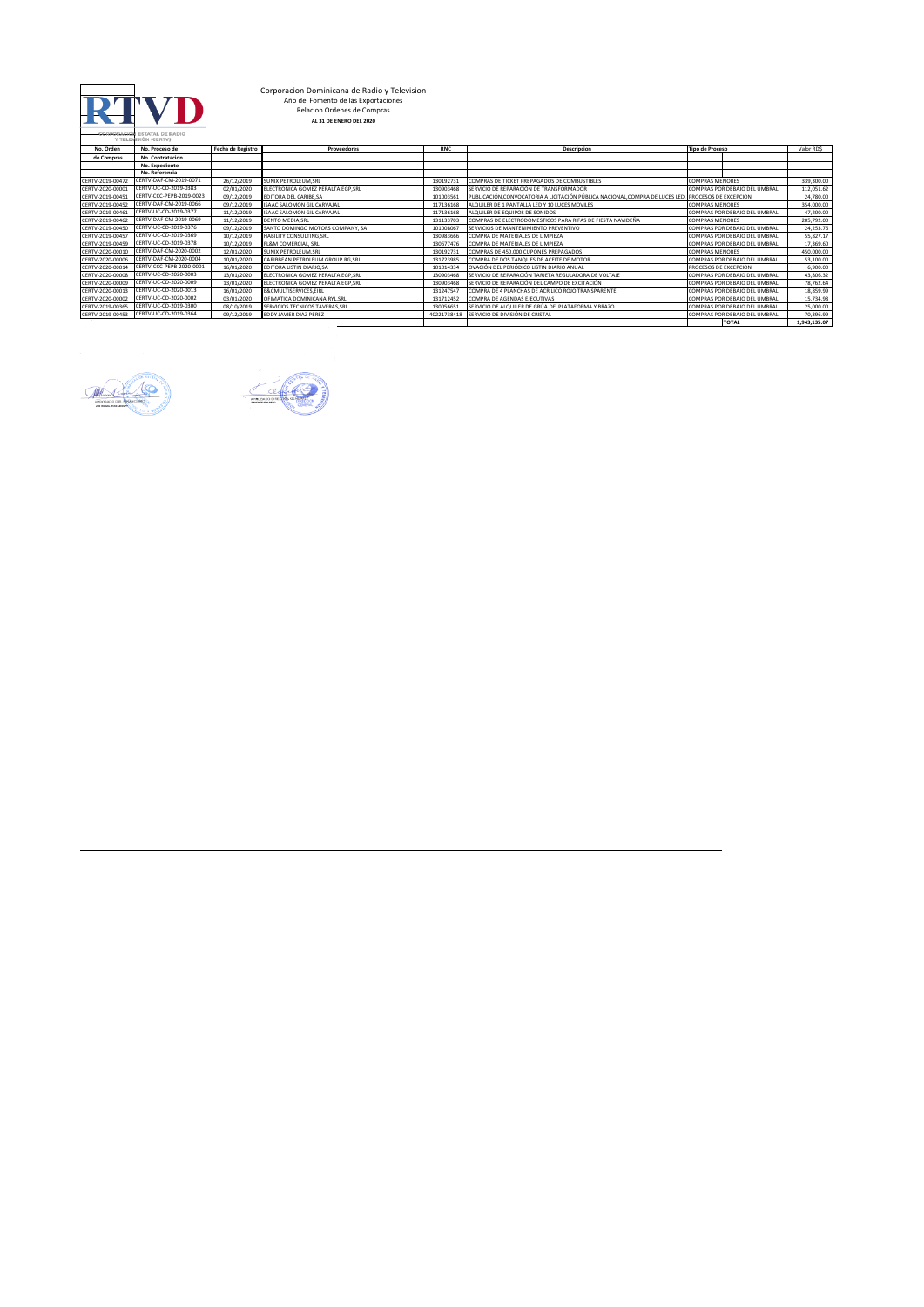

## **Corporacion Dominicana de Radio y Television<br>Año del Fomento de las Exportaciones<br>Relacion Ordenes de Compras<br>AL 31 DE ENERO DEL 2020**

|                  | COMPORACION ESTATAL DE RADIO<br>Y TELEVISIÓN (CERTV) |                   |                                   |             |                                                                             |                               |              |
|------------------|------------------------------------------------------|-------------------|-----------------------------------|-------------|-----------------------------------------------------------------------------|-------------------------------|--------------|
| No. Orden        | No. Proceso de                                       | Fecha de Registro | Proveedores                       | <b>RNC</b>  | <b>Descripcion</b>                                                          | <b>Tipo de Proceso</b>        | Valor RDS    |
| de Compras       | No. Contratacion                                     |                   |                                   |             |                                                                             |                               |              |
|                  | <b>No. Expediente</b>                                |                   |                                   |             |                                                                             |                               |              |
|                  | No. Referencia                                       |                   |                                   |             |                                                                             |                               |              |
| CERTV-2019-00472 | CERTV-DAF-CM-2019-0071                               | 26/12/2019        | <b>SUNIX PETROLEUM.SRL</b>        | 130192731   | COMPRAS DE TICKET PREPAGADOS DE COMBUSTIBLES                                | <b>COMPRAS MENORES</b>        | 339.300.00   |
| CERTV-2020-00001 | CERTV-UC-CD-2019-0383                                | 02/01/2020        | ELECTRONICA GOMEZ PERALTA EGP.SRL | 130903468   | SERVICIO DE REPARACIÓN DE TRANSFORMADOR                                     | COMPRAS POR DEBAJO DEL UMBRAL | 112,051.62   |
| CERTV-2019-00451 | CERTV-CCC-PEPB-2019-0023                             | 09/12/2019        | EDITORA DEL CARIBE.SA             | 101003561   | PUBLICACIÓN.CONVOCATORIA A LICITACIÓN PÚBLICA NACIONAL,COMPRA DE LUCES LED. | PROCESOS DE EXCEPCION         | 24,780.00    |
| CERTV-2019-00452 | CERTV-DAF-CM-2019-0066                               | 09/12/2019        | <b>ISAAC SALOMON GIL CARVAIAL</b> | 117136168   | ALQUILER DE 1 PANTALLA LED Y 10 LUCES MOVILES                               | <b>COMPRAS MENORES</b>        | 354,000.00   |
| CERTV-2019-00461 | CERTV-UC-CD-2019-0377                                | 11/12/2019        | <b>ISAAC SALOMON GIL CARVAJAL</b> | 117136168   | ALQUILER DE EQUIPOS DE SONIDOS                                              | COMPRAS POR DEBAJO DEL UMBRAL | 47,200.00    |
| CERTV-2019-00462 | CERTV-DAF-CM-2019-0069                               | 11/12/2019        | <b>DENTO MEDIA.SRL</b>            | 131133703   | COMPRAS DE ELECTRODOMESTICOS PARA RIFAS DE FIESTA NAVIDEÑA                  | <b>COMPRAS MENORES</b>        | 205,792.00   |
| CERTV-2019-00450 | CERTV-UC-CD-2019-0376                                | 09/12/2019        | SANTO DOMINGO MOTORS COMPANY, SA  | 10100806    | SERVICIOS DE MANTENIMIENTO PREVENTIVO                                       | COMPRAS POR DEBAJO DEL UMBRAL | 24,253.76    |
| CERTV-2019-00457 | CERTV-UC-CD-2019-0369                                | 10/12/2019        | HABILITY CONSULTING.SRL           | 130983666   | COMPRA DE MATERIALES DE LIMPIEZA                                            | COMPRAS POR DEBAJO DEL UMBRAL | 55,827.17    |
| CERTV-2019-00459 | CERTV-UC-CD-2019-0378                                | 10/12/2019        | <b>FL&amp;M COMERCIAL, SRL</b>    | 130677476   | COMPRA DE MATERIALES DE LIMPIEZA                                            | COMPRAS POR DEBAJO DEL UMBRAL | 17,369.60    |
| CERTV-2020-00010 | CERTV-DAF-CM-2020-0002                               | 12/01/2020        | <b>SUNIX PETROLEUM.SRL</b>        | 130192731   | COMPRAS DE 450.000 CUPONES PREPAGADOS                                       | <b>COMPRAS MENORES</b>        | 450,000.00   |
| CERTV-2020-00006 | CERTV-DAF-CM-2020-0004                               | 10/01/2020        | CARIBBEAN PETROLEUM GROUP RG.SRL  | 131723985   | COMPRA DE DOS TANQUES DE ACEITE DE MOTOR                                    | COMPRAS POR DEBAJO DEL UMBRAL | 53,100.00    |
| CERTV-2020-00014 | CERTV-CCC-PEPB-2020-000                              | 16/01/2020        | EDITORA LISTIN DIARIO.SA          | 101014334   | OVACIÓN DEL PERIÓDICO LISTIN DIARIO ANUAL                                   | PROCESOS DE EXCEPCION         | 6,900.00     |
| CERTV-2020-00008 | CERTV-UC-CD-2020-0003                                | 13/01/2020        | ELECTRONICA GOMEZ PERALTA EGP.SRL | 130903468   | SERVICIO DE REPARACIÓN TARJETA REGULADORA DE VOLTAJE                        | COMPRAS POR DEBAJO DEL UMBRAL | 43,806.32    |
| CERTV-2020-00009 | CERTV-UC-CD-2020-0009                                | 13/01/2020        | ELECTRONICA GOMEZ PERALTA EGP.SRL | 130903468   | SERVICIO DE REPARACIÓN DEL CAMPO DE EXCITACIÓN                              | COMPRAS POR DEBAJO DEL UMBRAL | 78,762.64    |
| CERTV-2020-00013 | CERTV-UC-CD-2020-0013                                | 16/01/2020        | E&CMULTISERVICES.EIRL             | 131247547   | COMPRA DE 4 PLANCHAS DE ACRILICO ROJO TRANSPARENTE                          | COMPRAS POR DEBAJO DEL UMBRAL | 18,859.99    |
| CERTV-2020-00002 | CERTV-UC-CD-2020-0002                                | 03/01/2020        | OFIMATICA DOMINICANA RYL.SRL      | 131712452   | COMPRA DE AGENDAS EJECUTIVAS                                                | COMPRAS POR DEBAJO DEL UMBRAL | 15,734.98    |
| CERTV-2019-00365 | CERTV-UC-CD-2019-0300                                | 08/10/2019        | SERVICIOS TECNICOS TAVERAS.SRL    | 130056651   | SERVICIO DE ALQUILER DE GRÚA DE PLATAFORMA Y BRAZO                          | COMPRAS POR DEBAJO DEL UMBRAL | 25,000.00    |
| CERTV-2019-00453 | CERTV-UC-CD-2019-0364                                | 09/12/2019        | EDDY JAVIER DIAZ PEREZ            | 40221738418 | SERVICIO DE DIVISIÓN DE CRISTAL                                             | COMPRAS POR DEBAJO DEL UMBRAL | 70,396.99    |
|                  |                                                      |                   |                                   |             |                                                                             | <b>TOTAL</b>                  | 1,943,135.07 |